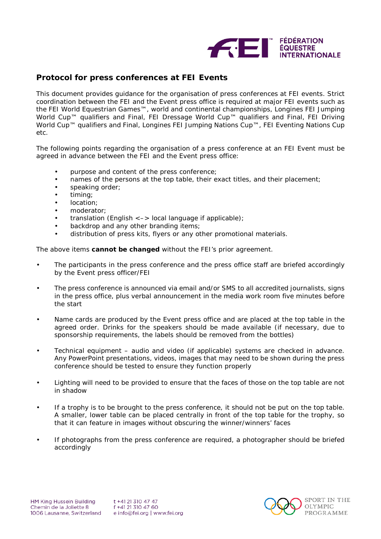

## **Protocol for press conferences at FEI Events**

This document provides guidance for the organisation of press conferences at FEI events. Strict coordination between the FEI and the Event press office is required at major FEI events such as the FEI World Equestrian Games™, world and continental championships, Longines FEI Jumping World Cup™ qualifiers and Final, FEI Dressage World Cup™ qualifiers and Final, FEI Driving World Cup™ qualifiers and Final, Longines FEI Jumping Nations Cup™, FEI Eventing Nations Cup etc.

The following points regarding the organisation of a press conference at an FEI Event must be agreed in advance between the FEI and the Event press office:

- purpose and content of the press conference;
- names of the persons at the top table, their exact titles, and their placement;
- speaking order;
- timing;
- location:
- moderator;
- translation (English  $\le$  -> local language if applicable);
- backdrop and any other branding items;
- distribution of press kits, flyers or any other promotional materials.

The above items **cannot be changed** without the FEI's prior agreement.

- The participants in the press conference and the press office staff are briefed accordingly by the Event press officer/FEI
- The press conference is announced via email and/or SMS to all accredited journalists, signs in the press office, plus verbal announcement in the media work room five minutes before the start
- Name cards are produced by the Event press office and are placed at the top table in the agreed order. Drinks for the speakers should be made available (if necessary, due to sponsorship requirements, the labels should be removed from the bottles)
- Technical equipment audio and video (if applicable) systems are checked in advance. Any PowerPoint presentations, videos, images that may need to be shown during the press conference should be tested to ensure they function properly
- Lighting will need to be provided to ensure that the faces of those on the top table are not in shadow
- If a trophy is to be brought to the press conference, it should not be put on the top table. A smaller, lower table can be placed centrally in front of the top table for the trophy, so that it can feature in images without obscuring the winner/winners' faces
- If photographs from the press conference are required, a photographer should be briefed accordingly